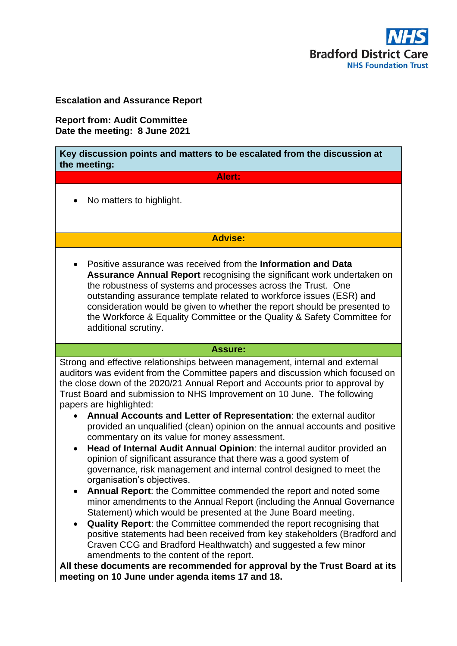

## **Escalation and Assurance Report**

**Report from: Audit Committee Date the meeting: 8 June 2021**

| Key discussion points and matters to be escalated from the discussion at<br>the meeting:                                                                                                                                                                                                                                                                                                                                                                                                                                                                                                                                                                                                                                                                                                                                                                                                                                                                                                                                                                                                                                                                                                                                                                                                                                      |
|-------------------------------------------------------------------------------------------------------------------------------------------------------------------------------------------------------------------------------------------------------------------------------------------------------------------------------------------------------------------------------------------------------------------------------------------------------------------------------------------------------------------------------------------------------------------------------------------------------------------------------------------------------------------------------------------------------------------------------------------------------------------------------------------------------------------------------------------------------------------------------------------------------------------------------------------------------------------------------------------------------------------------------------------------------------------------------------------------------------------------------------------------------------------------------------------------------------------------------------------------------------------------------------------------------------------------------|
| Alert:                                                                                                                                                                                                                                                                                                                                                                                                                                                                                                                                                                                                                                                                                                                                                                                                                                                                                                                                                                                                                                                                                                                                                                                                                                                                                                                        |
| No matters to highlight.                                                                                                                                                                                                                                                                                                                                                                                                                                                                                                                                                                                                                                                                                                                                                                                                                                                                                                                                                                                                                                                                                                                                                                                                                                                                                                      |
| <b>Advise:</b>                                                                                                                                                                                                                                                                                                                                                                                                                                                                                                                                                                                                                                                                                                                                                                                                                                                                                                                                                                                                                                                                                                                                                                                                                                                                                                                |
| Positive assurance was received from the Information and Data<br><b>Assurance Annual Report recognising the significant work undertaken on</b><br>the robustness of systems and processes across the Trust. One<br>outstanding assurance template related to workforce issues (ESR) and<br>consideration would be given to whether the report should be presented to<br>the Workforce & Equality Committee or the Quality & Safety Committee for<br>additional scrutiny.                                                                                                                                                                                                                                                                                                                                                                                                                                                                                                                                                                                                                                                                                                                                                                                                                                                      |
| <b>Assure:</b>                                                                                                                                                                                                                                                                                                                                                                                                                                                                                                                                                                                                                                                                                                                                                                                                                                                                                                                                                                                                                                                                                                                                                                                                                                                                                                                |
| Strong and effective relationships between management, internal and external<br>auditors was evident from the Committee papers and discussion which focused on<br>the close down of the 2020/21 Annual Report and Accounts prior to approval by<br>Trust Board and submission to NHS Improvement on 10 June. The following<br>papers are highlighted:<br>Annual Accounts and Letter of Representation: the external auditor<br>provided an unqualified (clean) opinion on the annual accounts and positive<br>commentary on its value for money assessment.<br>Head of Internal Audit Annual Opinion: the internal auditor provided an<br>$\bullet$<br>opinion of significant assurance that there was a good system of<br>governance, risk management and internal control designed to meet the<br>organisation's objectives.<br>Annual Report: the Committee commended the report and noted some<br>minor amendments to the Annual Report (including the Annual Governance<br>Statement) which would be presented at the June Board meeting.<br>Quality Report: the Committee commended the report recognising that<br>$\bullet$<br>positive statements had been received from key stakeholders (Bradford and<br>Craven CCG and Bradford Healthwatch) and suggested a few minor<br>amendments to the content of the report. |
| All these documents are recommended for approval by the Trust Board at its<br>meeting on 10 June under agenda items 17 and 18.                                                                                                                                                                                                                                                                                                                                                                                                                                                                                                                                                                                                                                                                                                                                                                                                                                                                                                                                                                                                                                                                                                                                                                                                |